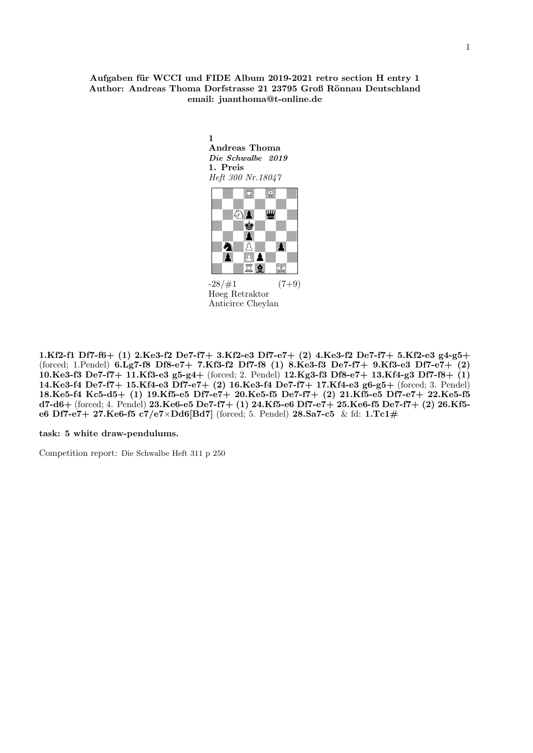# Aufgaben für WCCI und FIDE Album 2019-2021 retro section H entry 1 Author: Andreas Thoma Dorfstrasse 21 23795 Groß Rönnau Deutschland email: juanthoma@t-online.de

1

Andreas Thoma Die Schwalbe 2019 1. Preis Heft 300 Nr.18047 " 

 $-28/\#1$  (7+9) Høeg Retraktor Anticirce Cheylan

1.Kf2-f1 Df7-f6+ (1) 2.Ke3-f2 De7-f7+ 3.Kf2-e3 Df7-e7+ (2) 4.Ke3-f2 De7-f7+ 5.Kf2-e3 g4-g5+ (forced; 1.Pendel) 6.Lg7-f8 Df8-e7+ 7.Kf3-f2 Df7-f8 (1) 8.Ke3-f3 De7-f7+ 9.Kf3-e3 Df7-e7+ (2) 10.Ke3-f3 De7-f7+ 11.Kf3-e3 g5-g4+ (forced; 2. Pendel) 12.Kg3-f3 Df8-e7+ 13.Kf4-g3 Df7-f8+ (1) 14.Ke3-f4 De7-f7+ 15.Kf4-e3 Df7-e7+ (2) 16.Ke3-f4 De7-f7+ 17.Kf4-e3 g6-g5+ (forced; 3. Pendel) 18.Ke5-f4 Kc5-d5+ (1) 19.Kf5-e5 Df7-e7+ 20.Ke5-f5 De7-f7+ (2) 21.Kf5-e5 Df7-e7+ 22.Ke5-f5 d7-d6+ (forced; 4. Pendel) 23.Ke6-e5 De7-f7+ (1) 24.Kf5-e6 Df7-e7+ 25.Ke6-f5 De7-f7+ (2) 26.Kf5 e6 Df7-e7+ 27.Ke6-f5 c7/e7×Dd6[Bd7] (forced; 5. Pendel) 28.Sa7-c5 & fd: 1.Tc1#

task: 5 white draw-pendulums.

Competition report: Die Schwalbe Heft 311 p 250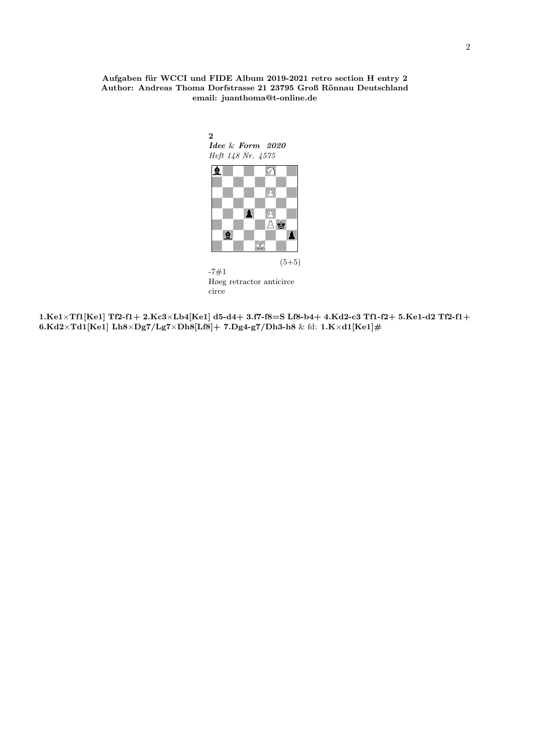### Aufgaben für WCCI und FIDE Album 2019-2021 retro section H entry 2 Author: Andreas Thoma Dorfstrasse 21 23795 Groß Rönnau Deutschland email: juanthoma@t-online.de



 $1. {\rm Ke1\times Tf1[Ke1]~Tf2-f1+~2.Kc3\times Lb4[Ke1]~d5\hbox{-}d4+~3.f7\hbox{-}f8\hbox{=}S~Lf8\hbox{-}b4+~4.Kd2\hbox{-}c3~Tf1\hbox{-}f2\hbox{-}f3.Ke1\hbox{-}d2~Tf2\hbox{-}f1\hbox{-}d4+~4.Kd1\hbox{-}d5\hbox{-}d5+~4\times Lb4[Kd1\hbox{-}d5-2Kc3$~Tf1\hbox{-}d5-2Kc1\hbox{-}d5-2Kc1\hbox{-}d5-2Kc1\h$ 6.Kd2×Td1[Ke1] Lh8×Dg7/Lg7×Dh8[Lf8]+ 7.Dg4-g7/Dh3-h8 & fd: 1.K×d1[Ke1]#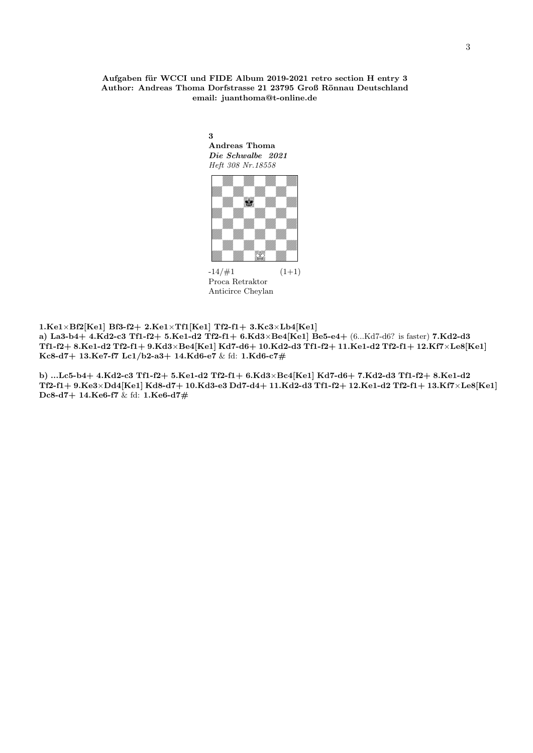Aufgaben für WCCI und FIDE Album 2019-2021 retro section H entry 3 Author: Andreas Thoma Dorfstrasse 21 23795 Groß Rönnau Deutschland email: juanthoma@t-online.de

> 3 Andreas Thoma Die Schwalbe 2021 Heft 308 Nr.18558



 $-14/\#1$   $(1+1)$ Proca Retraktor Anticirce Cheylan

 $1.Kel\times Bf2[Kel]$  Bf3-f2+  $2.Kel\times Tf1[Kel]$  Tf2-f1+  $3.Kc3\times Lb4[Kel]$ 

a) La3-b4+ 4.Kd2-c3 Tf1-f2+ 5.Ke1-d2 Tf2-f1+ 6.Kd3×Be4[Ke1] Be5-e4+ (6...Kd7-d6? is faster) 7.Kd2-d3  ${\tt Tf1-f2+8.Ke1-d2\ Tf2-f1+9.Kd3\times Be4[Ke1]\ Kd7-d6+10.Kd2-d3\ Tf1-f2+11.Ke1-d2\ Tf2-f1+12.Kf7\times Le8[Ke1] }$ Kc8-d7+ 13.Ke7-f7 Lc1/b2-a3+ 14.Kd6-e7 & fd: 1.Kd6-c7#

b) ...Lc5-b4+ 4.Kd2-c3 Tf1-f2+ 5.Ke1-d2 Tf2-f1+ 6.Kd3×Bc4[Ke1] Kd7-d6+ 7.Kd2-d3 Tf1-f2+ 8.Ke1-d2 Tf2-f1+ 9.Ke3×Dd4[Ke1] Kd8-d7+ 10.Kd3-e3 Dd7-d4+ 11.Kd2-d3 Tf1-f2+ 12.Ke1-d2 Tf2-f1+ 13.Kf7×Le8[Ke1] Dc8-d7+ 14.Ke6-f7  $\&$  fd: 1.Ke6-d7#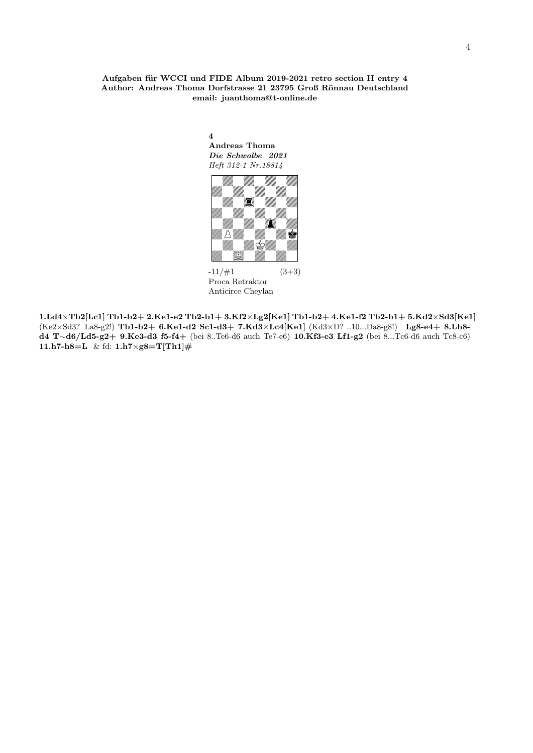### Aufgaben für WCCI und FIDE Album 2019-2021 retro section H entry 4 Author: Andreas Thoma Dorfstrasse 21 23795 Groß Rönnau Deutschland email: juanthoma@t-online.de

4 Andreas Thoma Die Schwalbe 2021 Heft 312-1 Nr.18814



 $-11/\#1$   $(3+3)$ Proca Retraktor Anticirce Cheylan

 $\pmb{1. Ld4 \times Tb2[Lc1] \cdot Tb1-b2+ \cdot 2. Ke1-e2 \cdot Tb2-b1+ \cdot 3.Kf2 \times Lg2[Ke1] \cdot Tb1-b2+ \cdot 4.Ke1-f2 \cdot Tb2-b1+ \cdot 5.Kd2 \times Sd3[Ke1] \cdot Tb1-b2+ \cdot 5.Kd2 \times Sd3[Ke1] \cdot Tb1-b2+ \cdot 5.Kd4 \times Sd3[Ke1] \cdot Tb1-b2+ \cdot 5.Kd4 \times Sd3[Ke1] \cdot Tb1-b2+ \cdot 5.Kd4 \times Sd3[Ke1] \cdot Tb1-b2+ \cdot 5.Kd4 \times Sd3[Ke1]$ (Ke2×Sd3? La8-g2!) Tb1-b2+ 6.Ke1-d2 Sc1-d3+ 7.Kd3×Lc4[Ke1] (Kd3×D? ..10...Da8-g8!) Lg8-e4+ 8.Lh8 d4 T∼d6/Ld5-g2+ 9.Ke3-d3 f5-f4+ (bei 8..Te6-d6 auch Te7-e6) 10.Kf3-e3 Lf1-g2 (bei 8...Tc6-d6 auch Tc8-c6) 11.h7-h8=L & fd:  $1. h7 \times g8 = T[Th1]$ #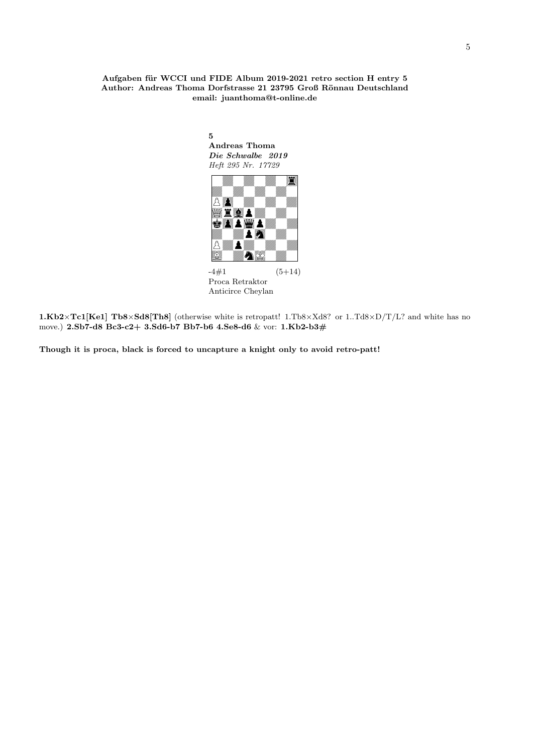### Aufgaben für WCCI und FIDE Album 2019-2021 retro section H entry 5 Author: Andreas Thoma Dorfstrasse 21 23795 Groß Rönnau Deutschland email: juanthoma@t-online.de

Andreas Thoma Die Schwalbe 2019 Heft 295 Nr. 17729 FIDE Album 2019-20<br>
Dorfstrasse 21 23795<br>
1: juanthoma@t-onlin<br>
5<br>
Andreas Thoma<br> *Die Schwalbe 2019<br>
Heft 295 Nr. 17729*<br> *Heft 295 Nr. 17729*<br> **The Manual Property Album**<br> **Album** Album  $-4\#1$   $(5+14)$ Proca Retraktor Anticirce Cheylan

1.Kb2×Tc1[Ke1] Tb8×Sd8[Th8] (otherwise white is retropatt! 1.Tb8×Xd8? or 1..Td8×D/T/L? and white has no move.) 2.Sb7-d8 Bc3-c2+ 3.Sd6-b7 Bb7-b6 4.Se8-d6 & vor: 1.Kb2-b3#

Though it is proca, black is forced to uncapture a knight only to avoid retro-patt!

5